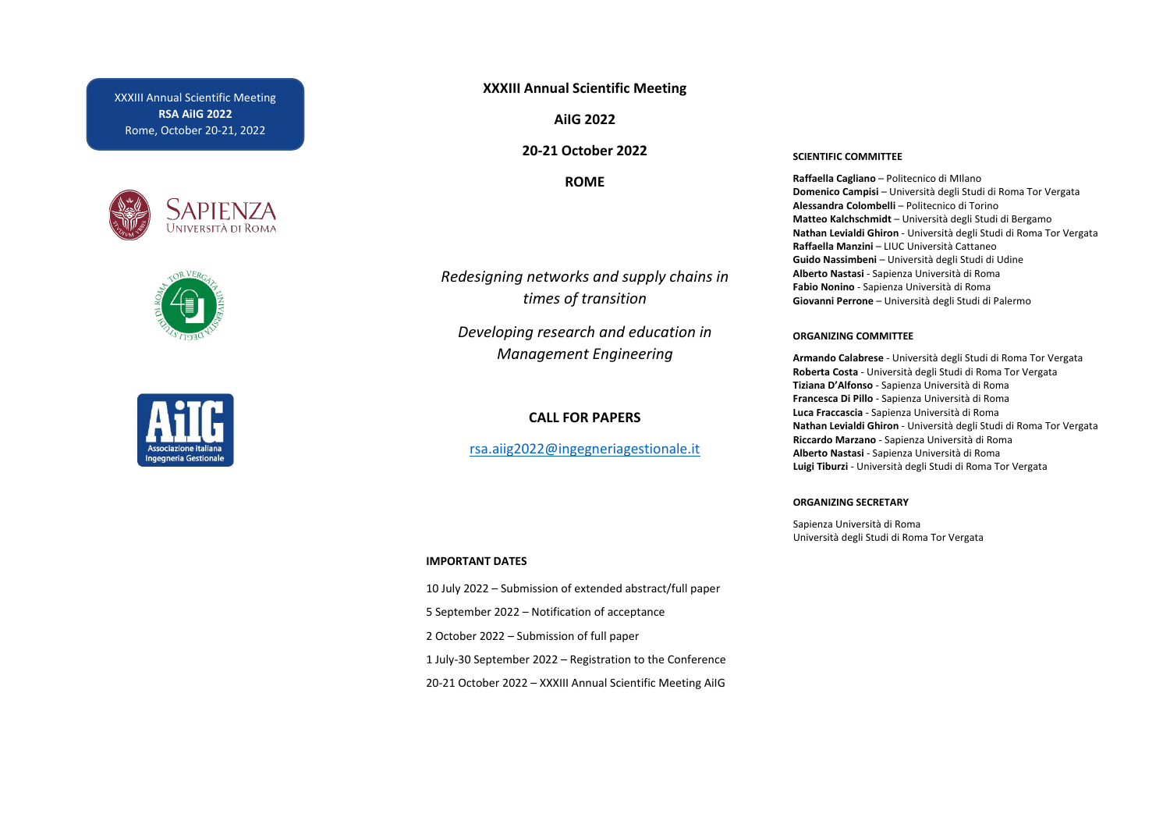XXXIII Annual Scientific Meeting **RSA AiIG 2022** Rome, October 20-21, 2022







# **XXXIII Annual Scientific Meeting**

**AiIG 2022**

**20-21 October 2022**

**ROME**

*Redesigning networks and supply chains in times of transition* 

*Developing research and education in Management Engineering*

# **CALL FOR PAPERS**

[rsa.aiig2022@ingegneriagestionale.it](mailto:rsa.aiig2022@ingegneriagestionale.it)

### **IMPORTANT DATES**

10 July 2022 – Submission of extended abstract/full paper 5 September 2022 – Notification of acceptance 2 October 2022 – Submission of full paper 1 July-30 September 2022 – Registration to the Conference 20-21 October 2022 – XXXIII Annual Scientific Meeting AiIG

#### **SCIENTIFIC COMMITTEE**

**Raffaella Cagliano** – Politecnico di MIlano **Domenico Campisi** – Università degli Studi di Roma Tor Vergata **Alessandra Colombelli** – Politecnico di Torino **Matteo Kalchschmidt** – Università degli Studi di Bergamo **Nathan Levialdi Ghiron** - Università degli Studi di Roma Tor Vergata **Raffaella Manzini** – LIUC Università Cattaneo **Guido Nassimbeni** – Università degli Studi di Udine **Alberto Nastasi** - Sapienza Università di Roma **Fabio Nonino** - Sapienza Università di Roma **Giovanni Perrone** – Università degli Studi di Palermo

### **ORGANIZING COMMITTEE**

**Armando Calabrese** - Università degli Studi di Roma Tor Vergata **Roberta Costa** - Università degli Studi di Roma Tor Vergata **Tiziana D'Alfonso** - Sapienza Università di Roma **Francesca Di Pillo** - Sapienza Università di Roma **Luca Fraccascia** - Sapienza Università di Roma **Nathan Levialdi Ghiron** - Università degli Studi di Roma Tor Vergata **Riccardo Marzano** - Sapienza Università di Roma **Alberto Nastasi** - Sapienza Università di Roma **Luigi Tiburzi** - Università degli Studi di Roma Tor Vergata

#### **ORGANIZING SECRETARY**

Sapienza Università di Roma Università degli Studi di Roma Tor Vergata